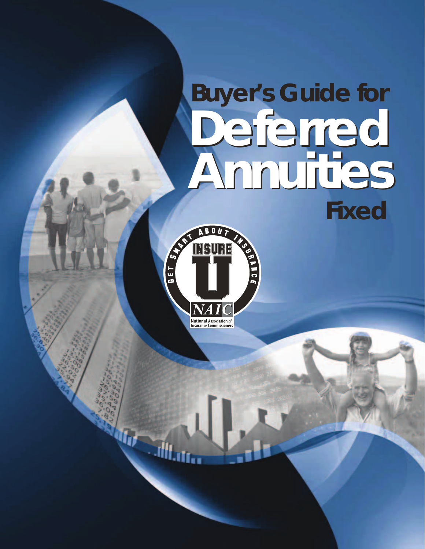# **Buyer's Guide for Deferred Annuities Deferred Annuities** *Fixed*

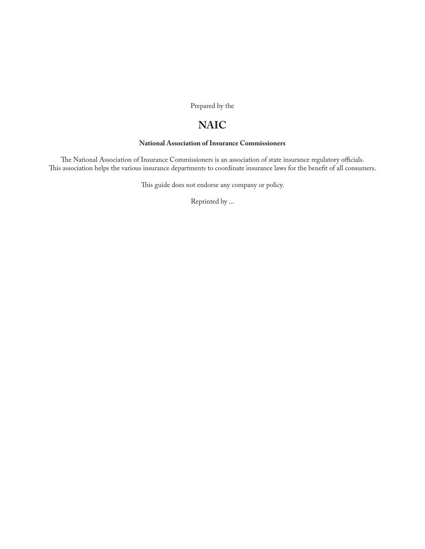Prepared by the

## **NAIC**

#### **National Association of Insurance Commissioners**

The National Association of Insurance Commissioners is an association of state insurance regulatory officials. This association helps the various insurance departments to coordinate insurance laws for the benefit of all consumers.

This guide does not endorse any company or policy.

Reprinted by ...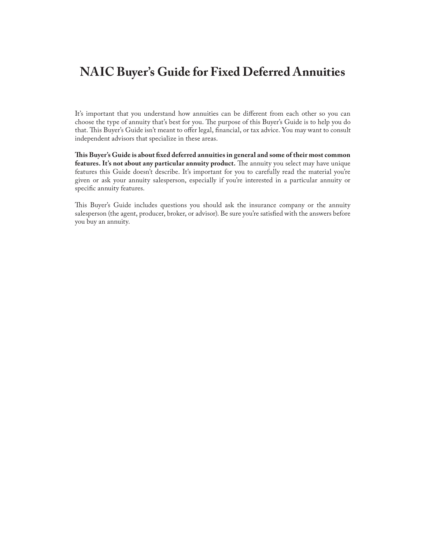## **NAIC Buyer's Guide for Fixed Deferred Annuities**

It's important that you understand how annuities can be different from each other so you can choose the type of annuity that's best for you. The purpose of this Buyer's Guide is to help you do that. This Buyer's Guide isn't meant to offer legal, financial, or tax advice. You may want to consult independent advisors that specialize in these areas.

**This Buyer's Guide is about fixed deferred annuities in general and some of their most common features. It's not about any particular annuity product.** The annuity you select may have unique features this Guide doesn't describe. It's important for you to carefully read the material you're given or ask your annuity salesperson, especially if you're interested in a particular annuity or specific annuity features.

This Buyer's Guide includes questions you should ask the insurance company or the annuity salesperson (the agent, producer, broker, or advisor). Be sure you're satisfied with the answers before you buy an annuity.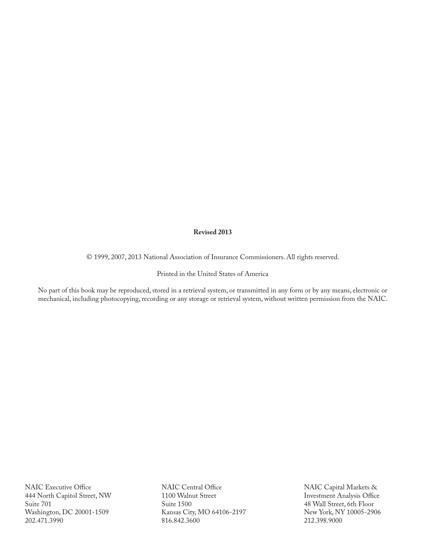#### **Revised 2013**

© 1999, 2007, 2013 National Association of Insurance Commissioners. All rights reserved.

Printed in the United States of America

No part of this book may be reproduced, stored in a retrieval system, or transmitted in any form or by any means, electronic or mechanical, including photocopying, recording or any storage or retrieval system, without written permission from the NAIC.

NAIC Executive Office 444 North Capitol Street, NW Suite 701 Washington, DC 20001-1509 202.471.3990

NAIC Central Office 1100 Walnut Street Suite 1500 Kansas City, MO 64106-2197 816.842.3600

NAIC Capital Markets & Investment Analysis Office 48 Wall Street, 6th Floor New York, NY 10005-2906 212.398.9000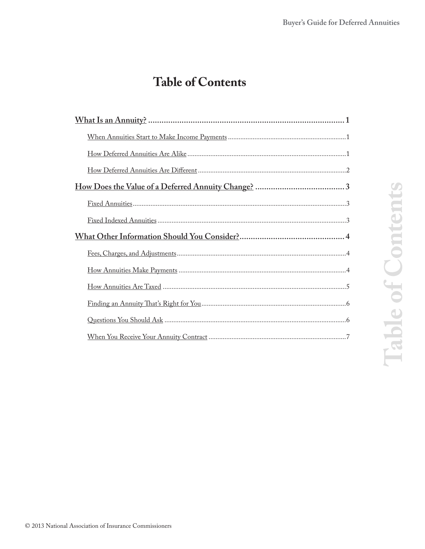## **Table of Contents**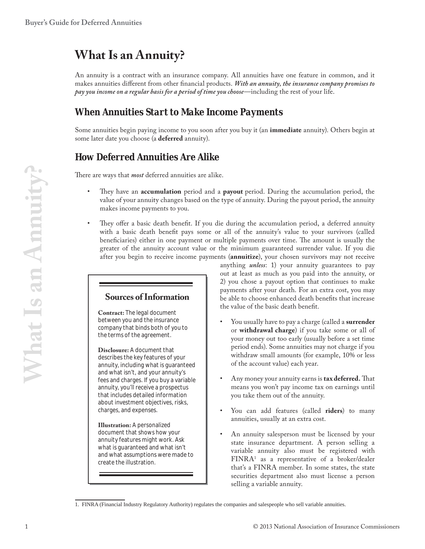## **What Is an Annuity?**

An annuity is a contract with an insurance company. All annuities have one feature in common, and it makes annuities different from other financial products. *With an annuity, the insurance company promises to pay you income on a regular basis for a period of time you choose*—including the rest of your life.

## *When Annuities Start to Make Income Payments*

Some annuities begin paying income to you soon after you buy it (an **immediate** annuity). Others begin at some later date you choose (a **deferred** annuity).

## *How Deferred Annuities Are Alike*

There are ways that *most* deferred annuities are alike.

- R5 They have an **accumulation** period and a **payout** period. During the accumulation period, the value of your annuity changes based on the type of annuity. During the payout period, the annuity makes income payments to you.
- These are very shot mast deformed are also the second that in papel are commissioners in the mass commissioners in the mass can be a second to the second the second that is an Annual Mexican commissioners in the second to They offer a basic death benefit. If you die during the accumulation period, a deferred annuity with a basic death benefit pays some or all of the annuity's value to your survivors (called beneficiaries) either in one payment or multiple payments over time. The amount is usually the greater of the annuity account value or the minimum guaranteed surrender value. If you die after you begin to receive income payments (**annuitize**), your chosen survivors may not receive

#### **Sources of Information**

**Contract:** *The legal document between you and the insurance company that binds both of you to the terms of the agreement.*

**Disclosure:** *A document that describes the key features of your annuity, including what is guaranteed and what isn't, and your annuity's fees and charges. If you buy a variable annuity, you'll receive a prospectus that includes detailed information about investment objectives, risks, charges, and expenses.*

**Illustration:** *A personalized document that shows how your annuity features might work. Ask what is guaranteed and what isn't and what assumptions were made to create the illustration.*

anything *unless*: 1) your annuity guarantees to pay out at least as much as you paid into the annuity, or 2) you chose a payout option that continues to make payments after your death. For an extra cost, you may be able to choose enhanced death benefits that increase the value of the basic death benefit.

- You usually have to pay a charge (called a surrender or **withdrawal charge**) if you take some or all of your money out too early (usually before a set time period ends). Some annuities may not charge if you withdraw small amounts (for example, 10% or less of the account value) each year.
- Any money your annuity earns is **tax deferred.** That means you won't pay income tax on earnings until you take them out of the annuity.
- You can add features (called **riders**) to many annuities, usually at an extra cost.
- An annuity salesperson must be licensed by your state insurance department. A person selling a variable annuity also must be registered with FINRA1 as a representative of a broker/dealer that's a FINRA member. In some states, the state securities department also must license a person selling a variable annuity.

<sup>1.</sup> FINRA (Financial Industry Regulatory Authority) regulates the companies and salespeople who sell variable annuities.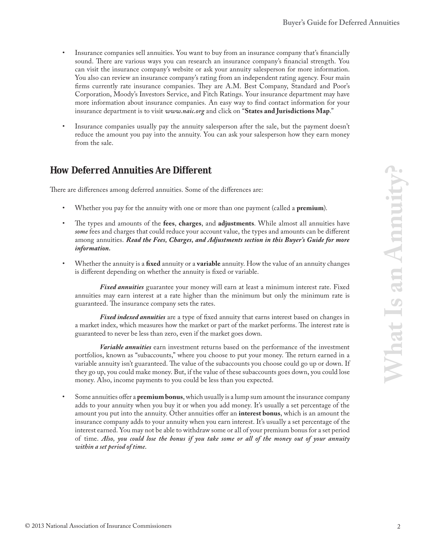- Insurance companies sell annuities. You want to buy from an insurance company that's financially sound. There are various ways you can research an insurance company's financial strength. You can visit the insurance company's website or ask your annuity salesperson for more information. You also can review an insurance company's rating from an independent rating agency. Four main firms currently rate insurance companies. They are A.M. Best Company, Standard and Poor's Corporation, Moody's Investors Service, and Fitch Ratings. Your insurance department may have more information about insurance companies. An easy way to find contact information for your insurance department is to visit *www.naic.org* and click on "**States and Jurisdictions Map**."
- Insurance companies usually pay the annuity salesperson after the sale, but the payment doesn't reduce the amount you pay into the annuity. You can ask your salesperson how they earn money from the sale.

### *How Deferred Annuities Are Different*

There are differences among deferred annuities. Some of the differences are:

- Whether you pay for the annuity with one or more than one payment (called a **premium**).
- R5 The types and amounts of the **fees**, **charges**, and **adjustments**. While almost all annuities have *some* fees and charges that could reduce your account value, the types and amounts can be different among annuities. *Read the Fees, Charges, and Adjustments section in this Buyer's Guide for more information.*
- R5 Whether the annuity is a **fixed** annuity or a **variable** annuity. How the value of an annuity changes is different depending on whether the annuity is fixed or variable.

 *Fixed annuities* guarantee your money will earn at least a minimum interest rate. Fixed annuities may earn interest at a rate higher than the minimum but only the minimum rate is guaranteed. The insurance company sets the rates.

 *Fixed indexed annuities* are a type of fixed annuity that earns interest based on changes in a market index, which measures how the market or part of the market performs. The interest rate is guaranteed to never be less than zero, even if the market goes down.

 *Variable annuities* earn investment returns based on the performance of the investment portfolios, known as "subaccounts," where you choose to put your money. The return earned in a variable annuity isn't guaranteed. The value of the subaccounts you choose could go up or down. If they go up, you could make money. But, if the value of these subaccounts goes down, you could lose money. Also, income payments to you could be less than you expected.

**How Deferred Annuities Are Different**<br>There are differences are:<br>
New term gas for the action of the differences are:<br>
We be a power for the action of the described power of the differences are:<br>
What Is and Junctiful As Some annuities offer a **premium bonus**, which usually is a lump sum amount the insurance company adds to your annuity when you buy it or when you add money. It's usually a set percentage of the amount you put into the annuity. Other annuities offer an **interest bonus**, which is an amount the insurance company adds to your annuity when you earn interest. It's usually a set percentage of the interest earned. You may not be able to withdraw some or all of your premium bonus for a set period of time. *Also, you could lose the bonus if you take some or all of the money out of your annuity within a set period of time.*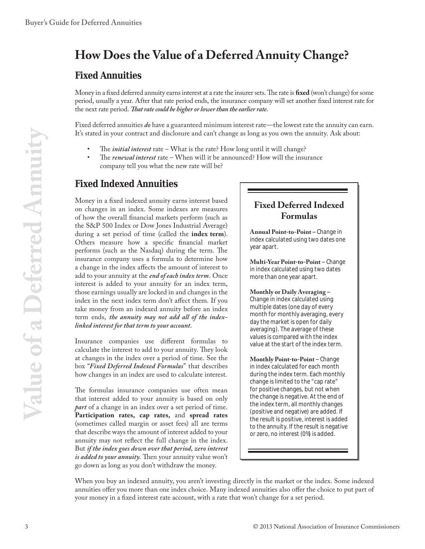## **How Does the Value of a Deferred Annuity Change?**

## *Fixed Annuities*

Money in a fixed deferred annuity earns interest at a rate the insurer sets. The rate is **fixed** (won't change) for some period, usually a year. After that rate period ends, the insurance company will set another fixed interest rate for the next rate period. *That rate could be higher or lower than the earlier rate.*

Fixed deferred annuities *do* have a guaranteed minimum interest rate—the lowest rate the annuity can earn. It's stated in your contract and disclosure and can't change as long as you own the annuity. Ask about:

- The *initial interest* rate What is the rate? How long until it will change?
- 5555555R5 Ļ5*renewal interest* rate When will it be announced? How will the insurance company tell you what the new rate will be?

### *Fixed Indexed Annuities*

Friendal to your continue and into the box is well be box in the box interaction of a simple of a Deferred Annual Association of  $\sim$  1013 National Association of  $\sim$  102 National Annual Association of  $\sim$  102 National Money in a fixed indexed annuity earns interest based on changes in an index. Some indexes are measures of how the overall financial markets perform (such as the S&P 500 Index or Dow Jones Industrial Average) during a set period of time (called the **index term**). Others measure how a specific financial market performs (such as the Nasdaq) during the term. The insurance company uses a formula to determine how a change in the index affects the amount of interest to add to your annuity at the *end of each index term*. Once interest is added to your annuity for an index term, those earnings usually are locked in and changes in the index in the next index term don't affect them. If you take money from an indexed annuity before an index term ends, *the annuity may not add all of the indexlinked interest for that term to your account.*

Insurance companies use different formulas to calculate the interest to add to your annuity. They look at changes in the index over a period of time. See the box "*Fixed Deferred Indexed Formulas*" that describes how changes in an index are used to calculate interest.

The formulas insurance companies use often mean that interest added to your annuity is based on only *part* of a change in an index over a set period of time. **Participation rates, cap rates,** and **spread rates** (sometimes called margin or asset fees) all are terms that describe ways the amount of interest added to your annuity may not reflect the full change in the index. But *if the index goes down over that period, zero interest is added to your annuity.* Then your annuity value won't go down as long as you don't withdraw the money.

### **Fixed Deferred Indexed Formulas**

**Annual Point-to-Point –** *Change in index calculated using two dates one year apart.* 

**Multi-Year Point-to-Point –** *Change in index calculated using two dates more than one year apart.* 

#### **Monthly or Daily Averaging –**

*Change in index calculated using multiple dates (one day of every month for monthly averaging, every day the market is open for daily averaging). The average of these values is compared with the index value at the start of the index term.* 

**Monthly Point-to-Point –** *Change in index calculated for each month during the index term. Each monthly change is limited to the "cap rate" for positive changes, but not when the change is negative. At the end of the index term, all monthly changes (positive and negative) are added. If the result is positive, interest is added to the annuity. If the result is negative or zero, no interest (0%) is added.*

When you buy an indexed annuity, you aren't investing directly in the market or the index. Some indexed annuities offer you more than one index choice. Many indexed annuities also offer the choice to put part of your money in a fixed interest rate account, with a rate that won't change for a set period.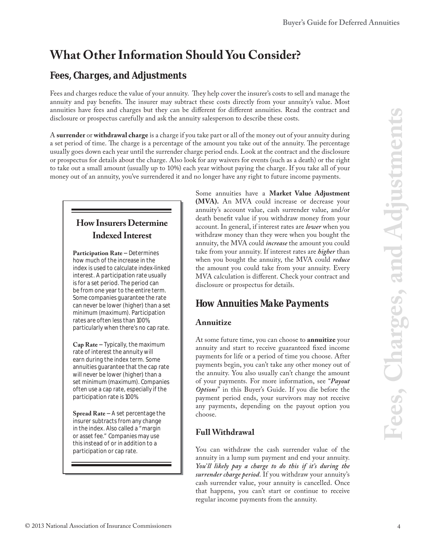## **What Other Information Should You Consider?**

## *Fees, Charges, and Adjustments*

Fees and charges reduce the value of your annuity. They help cover the insurer's costs to sell and manage the annuity and pay benefits. The insurer may subtract these costs directly from your annuity's value. Most annuities have fees and charges but they can be different for different annuities. Read the contract and disclosure or prospectus carefully and ask the annuity salesperson to describe these costs.

A **surrender** or **withdrawal charge** is a charge if you take part or all of the money out of your annuity during a set period of time. The charge is a percentage of the amount you take out of the annuity. The percentage usually goes down each year until the surrender charge period ends. Look at the contract and the disclosure or prospectus for details about the charge. Also look for any waivers for events (such as a death) or the right to take out a small amount (usually up to 10%) each year without paying the charge. If you take all of your money out of an annuity, you've surrendered it and no longer have any right to future income payments.

## **How Insurers Determine Indexed Interest**

**Participation Rate –** *Determines how much of the increase in the index is used to calculate index-linked interest. A participation rate usually is for a set period. The period can be from one year to the entire term. Some companies guarantee the rate can never be lower (higher) than a set minimum (maximum). Participation rates are often less than 100%, particularly when there's no cap rate.*

**Cap Rate –** *Typically, the maximum rate of interest the annuity will earn during the index term. Some annuities guarantee that the cap rate will never be lower (higher) than a set minimum (maximum). Companies often use a cap rate, especially if the participation rate is 100%.*

**Spread Rate –** *A set percentage the insurer subtracts from any change in the index. Also called a "margin or asset fee." Companies may use this instead of or in addition to a participation or cap rate.*

**EXECUTE ASSOCIATE ASSOCIATE ASSOCIATE ASSOCIATE COMPROMISE AND CONTINUES ARE CONSULTED ASSOCIATE ASSOCIATE ASSOCIATE ASSOCIATE ASSOCIATE ASSOCIATE ASSOCIATE ASSOCIATE ASSOCIATE ASSOCIATE ASSOCIATE ASSOCIATE ASSOCIATE ASS** Some annuities have a **Market Value Adjustment (MVA).** An MVA could increase or decrease your annuity's account value, cash surrender value, and/or death benefit value if you withdraw money from your account. In general, if interest rates are *lower* when you withdraw money than they were when you bought the annuity, the MVA could *increase* the amount you could take from your annuity. If interest rates are *higher* than when you bought the annuity, the MVA could *reduce* the amount you could take from your annuity. Every MVA calculation is different. Check your contract and disclosure or prospectus for details.

## *How Annuities Make Payments*

#### **Annuitize**

At some future time, you can choose to **annuitize** your annuity and start to receive guaranteed fixed income payments for life or a period of time you choose. After payments begin, you can't take any other money out of the annuity. You also usually can't change the amount of your payments. For more information, see "*Payout Options*" in this Buyer's Guide. If you die before the payment period ends, your survivors may not receive any payments, depending on the payout option you choose.

#### **Full Withdrawal**

You can withdraw the cash surrender value of the annuity in a lump sum payment and end your annuity. *You'll likely pay a charge to do this if it's during the surrender charge period*. If you withdraw your annuity's cash surrender value, your annuity is cancelled. Once that happens, you can't start or continue to receive regular income payments from the annuity.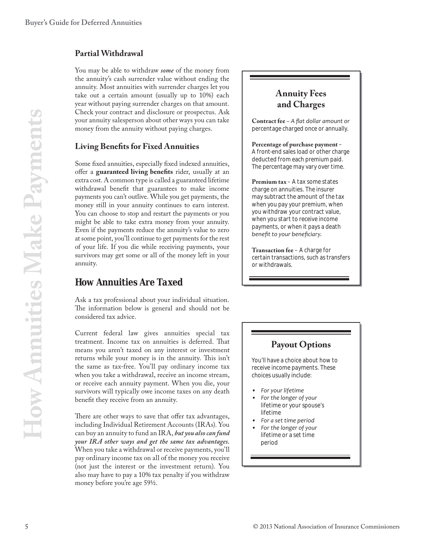#### **Partial Withdrawal**

You may be able to withdraw *some* of the money from the annuity's cash surrender value without ending the annuity. Most annuities with surrender charges let you take out a certain amount (usually up to 10%) each year without paying surrender charges on that amount. Check your contract and disclosure or prospectus. Ask your annuity salesperson about other ways you can take money from the annuity without paying charges.

#### **Living Benefits for Fixed Annuities**

Some fixed annuities, especially fixed indexed annuities, offer a **guaranteed living benefits** rider, usually at an extra cost. A common type is called a guaranteed lifetime withdrawal benefit that guarantees to make income payments you can't outlive. While you get payments, the money still in your annuity continues to earn interest. You can choose to stop and restart the payments or you might be able to take extra money from your annuity. Even if the payments reduce the annuity's value to zero at some point, you'll continue to get payments for the rest of your life. If you die while receiving payments, your survivors may get some or all of the money left in your annuity.

## *How Annuities Are Taxed*

Ask a tax professional about your individual situation. The information below is general and should not be considered tax advice.

Current federal law gives annuities special tax treatment. Income tax on annuities is deferred. That means you aren't taxed on any interest or investment returns while your money is in the annuity. This isn't the same as tax-free. You'll pay ordinary income tax when you take a withdrawal, receive an income stream, or receive each annuity payment. When you die, your survivors will typically owe income taxes on any death benefit they receive from an annuity.

There are other ways to save that offer tax advantages, including Individual Retirement Accounts (IRAs). You can buy an annuity to fund an IRA, *but you also can fund your IRA other ways and get the same tax advantages.*  When you take a withdrawal or receive payments, you'll pay ordinary income tax on all of the money you receive (not just the interest or the investment return). You also may have to pay a 10% tax penalty if you withdraw money before you're age 59½.

### **Annuity Fees and Charges**

Contract fee - A flat dollar amount or *percentage charged once or annually.*

**Percentage of purchase payment** *–* *A front-end sales load or other charge deducted from each premium paid. The percentage may vary over time.*

**Premium tax** *– A tax some states charge on annuities. The insurer may subtract the amount of the tax when you pay your premium, when you withdraw your contract value, when you start to receive income payments, or when it pays a death benefit to your beneficiary.* 

**Transaction fee** *– A charge for certain transactions, such as transfers or withdrawals.*

#### **Payout Options**

*You'll have a choice about how to receive income payments. These choices usually include:*

- For your lifetime
- For the longer of your  *lifetime or your spouse's lifetime*
- For a set time period
- For the longer of your  *lifetime or a set time period*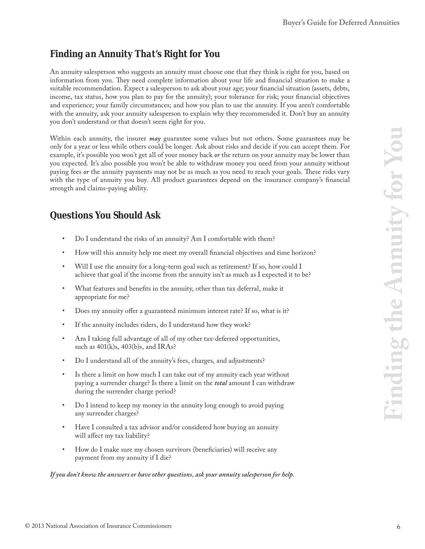## *Finding an Annuity That's Right for You*

An annuity salesperson who suggests an annuity must choose one that they think is right for you, based on information from you. They need complete information about your life and financial situation to make a suitable recommendation. Expect a salesperson to ask about your age; your financial situation (assets, debts, income, tax status, how you plan to pay for the annuity); your tolerance for risk; your financial objectives and experience; your family circumstances; and how you plan to use the annuity. If you aren't comfortable with the annuity, ask your annuity salesperson to explain why they recommended it. Don't buy an annuity you don't understand or that doesn't seem right for you.

Whilst cash ansalis, the issueur may guarantee was values to<br>the strong of the synchronic part of the synchronic part of the strong of<br>the strong of  $\sim$  Insurance Commissioners (and the strong the strong of the strong of Within each annuity, the insurer *may* guarantee some values but not others. Some guarantees may be only for a year or less while others could be longer. Ask about risks and decide if you can accept them. For example, it's possible you won't get all of your money back *or* the return on your annuity may be lower than you expected. It's also possible you won't be able to withdraw money you need from your annuity without paying fees *or* the annuity payments may not be as much as you need to reach your goals. These risks vary with the type of annuity you buy. All product guarantees depend on the insurance company's financial strength and claims-paying ability.

## *Questions You Should Ask*

- Do I understand the risks of an annuity? Am I comfortable with them?
- How will this annuity help me meet my overall financial objectives and time horizon?
- Will I use the annuity for a long-term goal such as retirement? If so, how could I achieve that goal if the income from the annuity isn't as much as I expected it to be?
- What features and benefits in the annuity, other than tax deferral, make it appropriate for me?
- Does my annuity offer a guaranteed minimum interest rate? If so, what is it?
- If the annuity includes riders, do I understand how they work?
- Am I taking full advantage of all of my other tax-deferred opportunities, such as  $401(k)s$ ,  $403(b)s$ , and IRAs?
- Do I understand all of the annuity's fees, charges, and adjustments?
- Is there a limit on how much I can take out of my annuity each year without paying a surrender charge? Is there a limit on the *total* amount I can withdraw during the surrender charge period?
- Do I intend to keep my money in the annuity long enough to avoid paying any surrender charges?
- Have I consulted a tax advisor and/or considered how buying an annuity will affect my tax liability?
- How do I make sure my chosen survivors (beneficiaries) will receive any payment from my annuity if I die?

#### *If you don't know the answers or have other questions, ask your annuity salesperson for help.*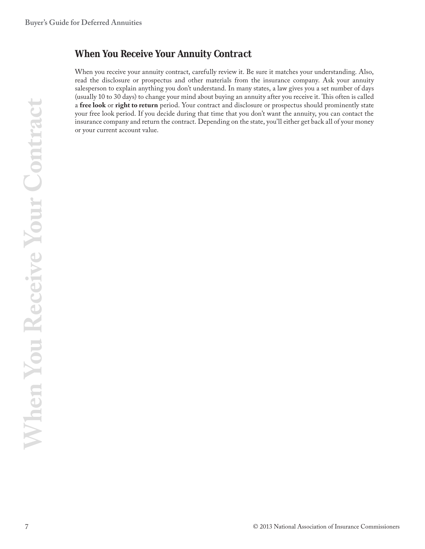### *When You Receive Your Annuity Contract*

**2.212 National Association of Insurance Commissioners** (Insurance Commissioners of Insurance Commissioners of Insurance Commissioners and wear Pole Commissioners and when You Received When You Received When You Received W When you receive your annuity contract, carefully review it. Be sure it matches your understanding. Also, read the disclosure or prospectus and other materials from the insurance company. Ask your annuity salesperson to explain anything you don't understand. In many states, a law gives you a set number of days (usually 10 to 30 days) to change your mind about buying an annuity after you receive it. This often is called a **free look** or **right to return** period. Your contract and disclosure or prospectus should prominently state your free look period. If you decide during that time that you don't want the annuity, you can contact the insurance company and return the contract. Depending on the state, you'll either get back all of your money or your current account value.